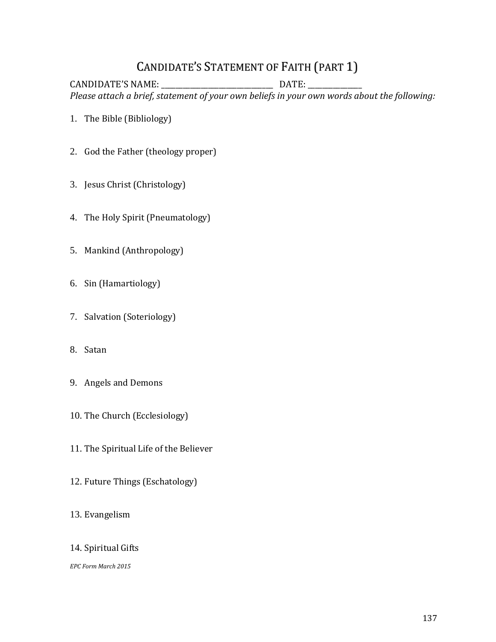## CANDIDATE'S STATEMENT OF FAITH (PART 1)

CANDIDATE'S NAME: \_\_\_\_\_\_\_\_\_\_\_\_\_\_\_\_\_\_\_\_\_\_\_\_\_\_\_\_\_\_\_ DATE: \_\_\_\_\_\_\_\_\_\_\_\_\_\_\_ *Please attach a brief, statement of your own beliefs in your own words about the following:*

- 1. The Bible (Bibliology)
- 2. God the Father (theology proper)
- 3. Jesus Christ (Christology)
- 4. The Holy Spirit (Pneumatology)
- 5. Mankind (Anthropology)
- 6. Sin (Hamartiology)
- 7. Salvation (Soteriology)
- 8. Satan
- 9. Angels and Demons
- 10. The Church (Ecclesiology)
- 11. The Spiritual Life of the Believer
- 12. Future Things (Eschatology)
- 13. Evangelism
- 14. Spiritual Gifts

*EPC Form March 2015*